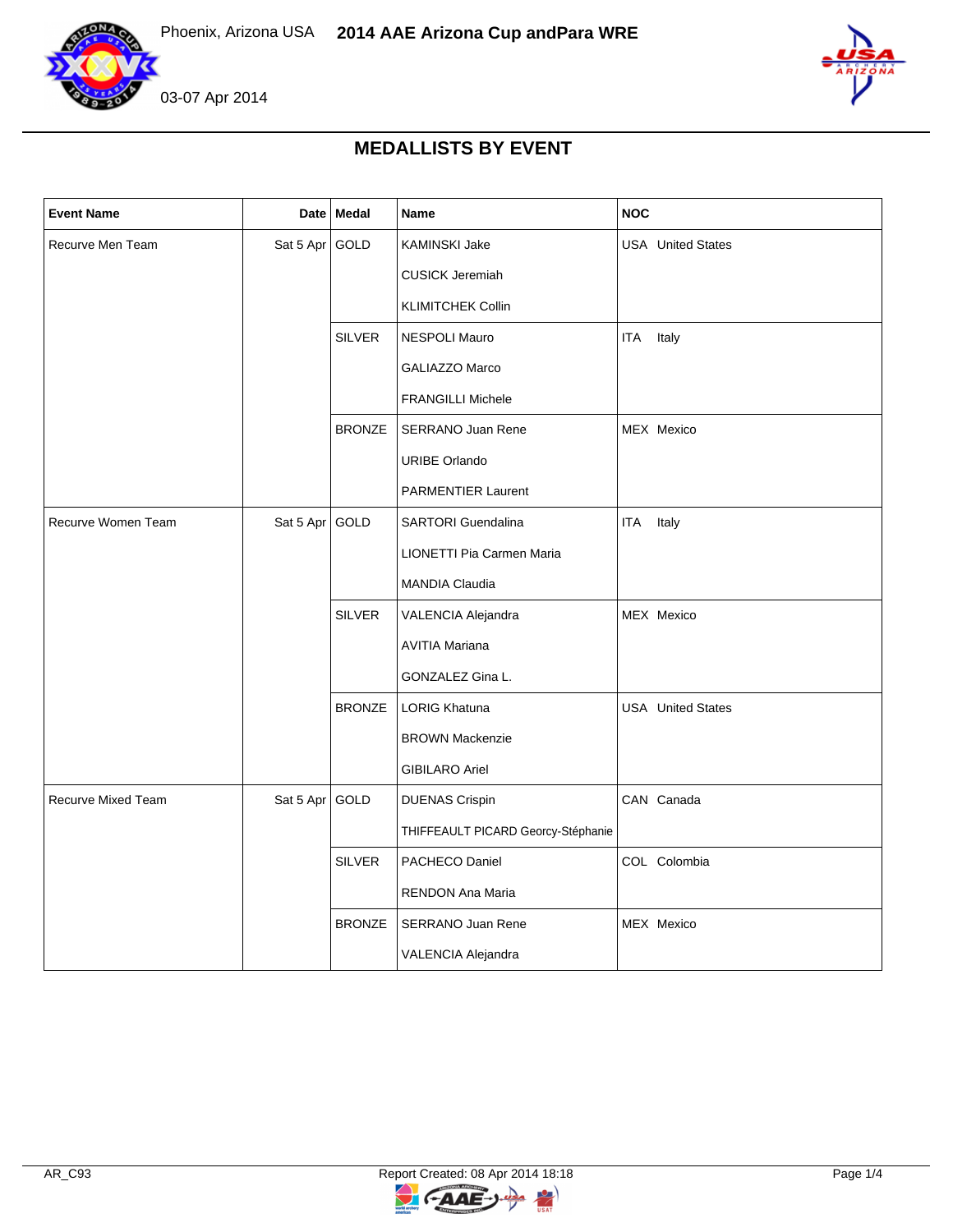



## **MEDALLISTS BY EVENT**

| <b>Event Name</b>         |                | Date Medal    | Name                               | <b>NOC</b>               |
|---------------------------|----------------|---------------|------------------------------------|--------------------------|
| Recurve Men Team          | Sat 5 Apr GOLD |               | KAMINSKI Jake                      | <b>USA</b> United States |
|                           |                |               | <b>CUSICK Jeremiah</b>             |                          |
|                           |                |               | <b>KLIMITCHEK Collin</b>           |                          |
|                           |                | <b>SILVER</b> | NESPOLI Mauro                      | <b>ITA</b><br>Italy      |
|                           |                |               | <b>GALIAZZO Marco</b>              |                          |
|                           |                |               | <b>FRANGILLI Michele</b>           |                          |
|                           |                | <b>BRONZE</b> | SERRANO Juan Rene                  | MEX Mexico               |
|                           |                |               | <b>URIBE Orlando</b>               |                          |
|                           |                |               | <b>PARMENTIER Laurent</b>          |                          |
| Recurve Women Team        | Sat 5 Apr      | GOLD          | <b>SARTORI</b> Guendalina          | <b>ITA</b><br>Italy      |
|                           |                |               | LIONETTI Pia Carmen Maria          |                          |
|                           |                |               | MANDIA Claudia                     |                          |
|                           |                | <b>SILVER</b> | VALENCIA Alejandra                 | MEX Mexico               |
|                           |                |               | <b>AVITIA Mariana</b>              |                          |
|                           |                |               | GONZALEZ Gina L.                   |                          |
|                           |                | <b>BRONZE</b> | <b>LORIG Khatuna</b>               | <b>USA</b> United States |
|                           |                |               | <b>BROWN Mackenzie</b>             |                          |
|                           |                |               | <b>GIBILARO Ariel</b>              |                          |
| <b>Recurve Mixed Team</b> | Sat 5 Apr GOLD |               | <b>DUENAS Crispin</b>              | CAN Canada               |
|                           |                |               | THIFFEAULT PICARD Georcy-Stéphanie |                          |
|                           |                | <b>SILVER</b> | PACHECO Daniel                     | COL Colombia             |
|                           |                |               | RENDON Ana Maria                   |                          |
|                           |                | <b>BRONZE</b> | <b>SERRANO Juan Rene</b>           | MEX Mexico               |
|                           |                |               | VALENCIA Alejandra                 |                          |

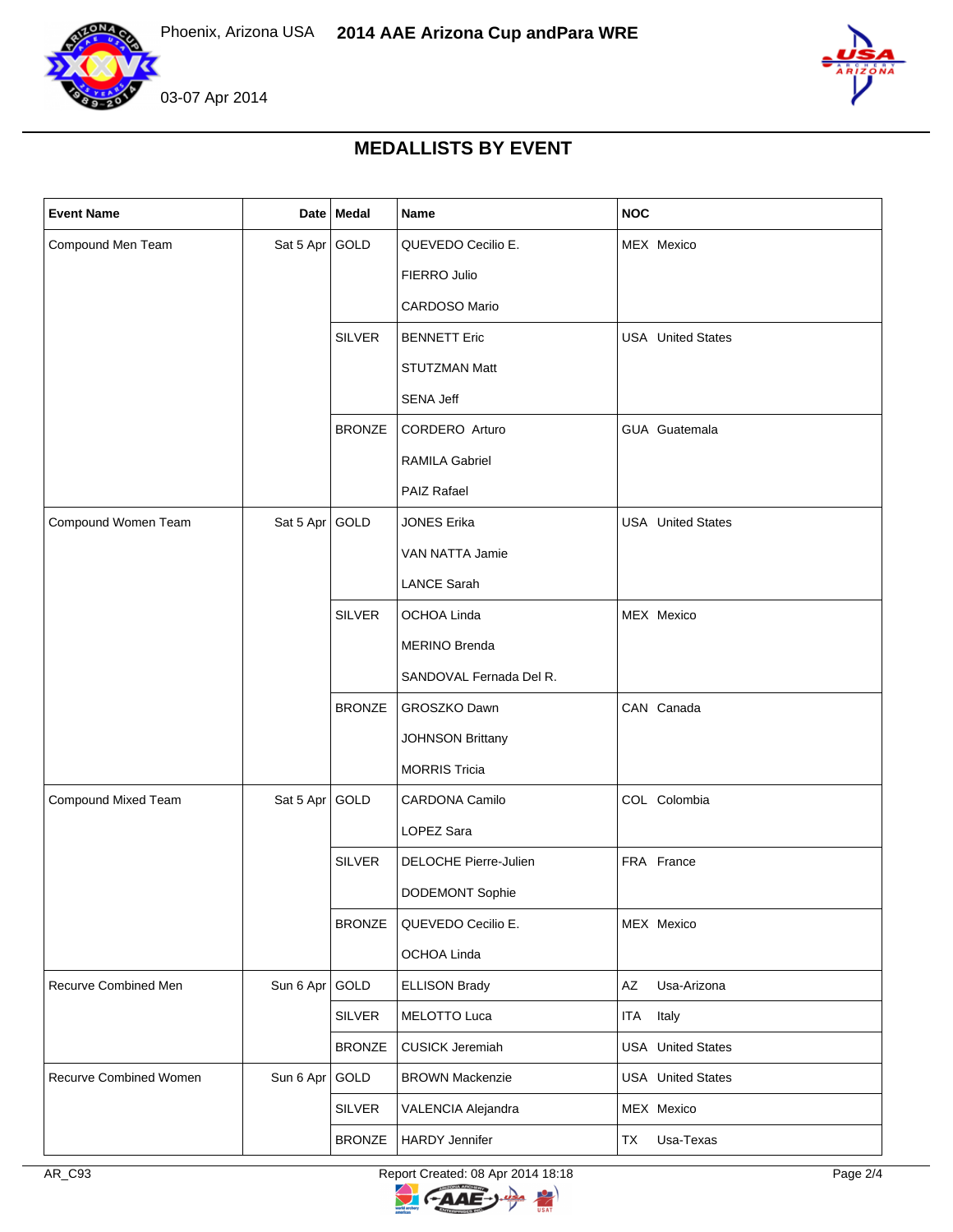



## **MEDALLISTS BY EVENT**

| <b>Event Name</b>      |                | Date Medal    | Name                         | <b>NOC</b>               |
|------------------------|----------------|---------------|------------------------------|--------------------------|
| Compound Men Team      | Sat 5 Apr GOLD |               | QUEVEDO Cecilio E.           | MEX Mexico               |
|                        |                |               | FIERRO Julio                 |                          |
|                        |                |               | CARDOSO Mario                |                          |
|                        |                | <b>SILVER</b> | <b>BENNETT Eric</b>          | <b>USA</b> United States |
|                        |                |               | STUTZMAN Matt                |                          |
|                        |                |               | <b>SENA Jeff</b>             |                          |
|                        |                | <b>BRONZE</b> | CORDERO Arturo               | GUA Guatemala            |
|                        |                |               | <b>RAMILA Gabriel</b>        |                          |
|                        |                |               | <b>PAIZ Rafael</b>           |                          |
| Compound Women Team    | Sat 5 Apr GOLD |               | <b>JONES Erika</b>           | <b>USA</b> United States |
|                        |                |               | VAN NATTA Jamie              |                          |
|                        |                |               | <b>LANCE Sarah</b>           |                          |
|                        |                | <b>SILVER</b> | OCHOA Linda                  | MEX Mexico               |
|                        |                |               | <b>MERINO Brenda</b>         |                          |
|                        |                |               | SANDOVAL Fernada Del R.      |                          |
|                        |                | <b>BRONZE</b> | GROSZKO Dawn                 | CAN Canada               |
|                        |                |               | <b>JOHNSON Brittany</b>      |                          |
|                        |                |               | <b>MORRIS Tricia</b>         |                          |
| Compound Mixed Team    | Sat 5 Apr GOLD |               | CARDONA Camilo               | COL Colombia             |
|                        |                |               | LOPEZ Sara                   |                          |
|                        |                | <b>SILVER</b> | <b>DELOCHE Pierre-Julien</b> | FRA France               |
|                        |                |               | DODEMONT Sophie              |                          |
|                        |                | <b>BRONZE</b> | QUEVEDO Cecilio E.           | MEX Mexico               |
|                        |                |               | OCHOA Linda                  |                          |
| Recurve Combined Men   | Sun 6 Apr GOLD |               | <b>ELLISON Brady</b>         | Usa-Arizona<br>AZ        |
|                        |                | <b>SILVER</b> | MELOTTO Luca                 | ITA<br>Italy             |
|                        |                | <b>BRONZE</b> | <b>CUSICK Jeremiah</b>       | <b>USA</b> United States |
| Recurve Combined Women | Sun 6 Apr GOLD |               | <b>BROWN Mackenzie</b>       | <b>USA</b> United States |
|                        |                | <b>SILVER</b> | VALENCIA Alejandra           | MEX Mexico               |
|                        |                | <b>BRONZE</b> | <b>HARDY Jennifer</b>        | TX<br>Usa-Texas          |

AR\_C93 Report Created: 08 Apr 2014 18:18 Report Created: 08 Apr 2014 18:18

 $\overline{z}$ 

**CAAE** 

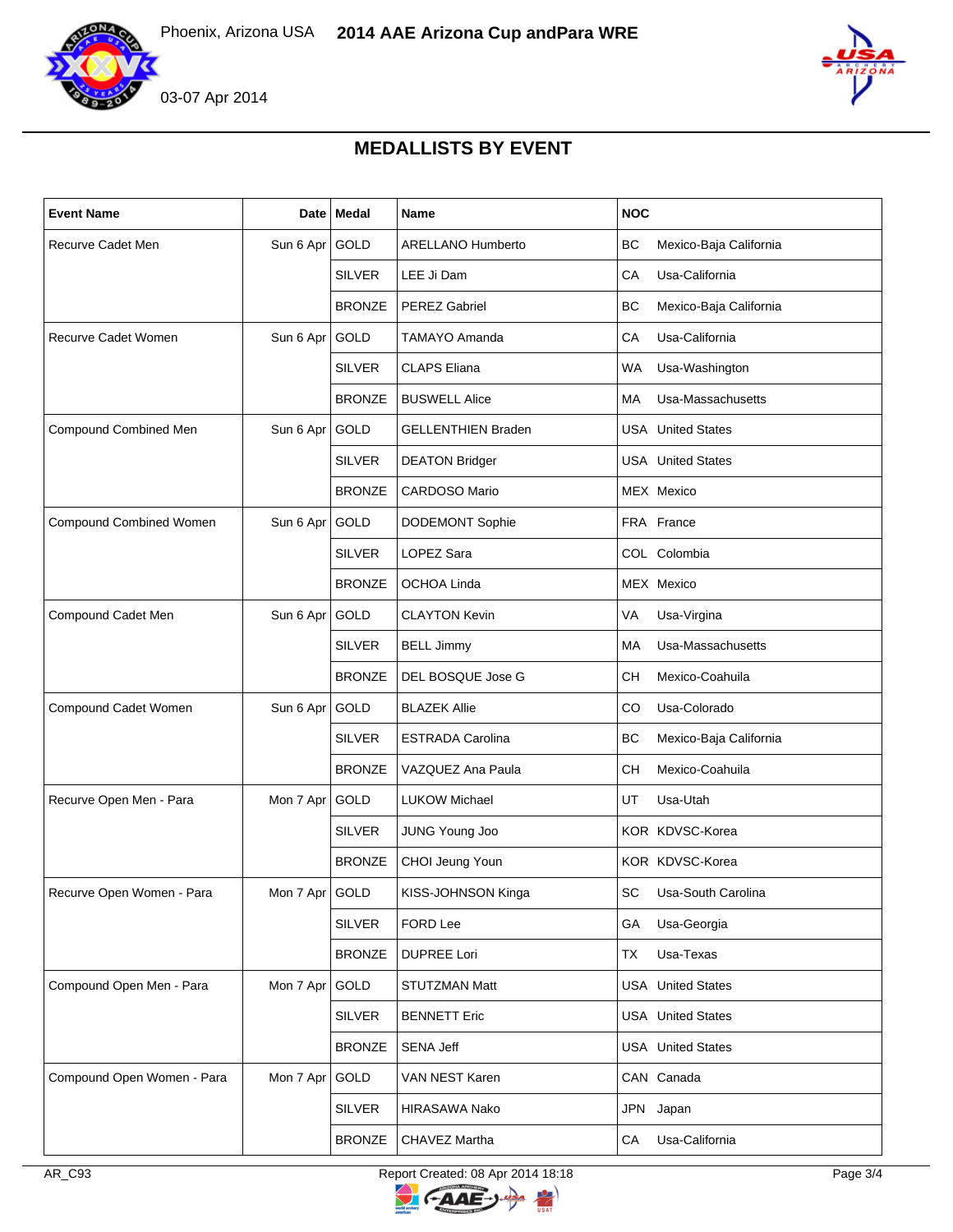

03-07 Apr 2014



## **MEDALLISTS BY EVENT**

| <b>Event Name</b>          |                | Date   Medal  | <b>Name</b>               | <b>NOC</b>                          |
|----------------------------|----------------|---------------|---------------------------|-------------------------------------|
| Recurve Cadet Men          | Sun 6 Apr GOLD |               | <b>ARELLANO Humberto</b>  | <b>BC</b><br>Mexico-Baja California |
|                            |                | <b>SILVER</b> | LEE Ji Dam                | Usa-California<br>СA                |
|                            |                | <b>BRONZE</b> | <b>PEREZ Gabriel</b>      | BС<br>Mexico-Baja California        |
| Recurve Cadet Women        | Sun 6 Apr      | GOLD          | <b>TAMAYO Amanda</b>      | Usa-California<br>CA                |
|                            |                | <b>SILVER</b> | <b>CLAPS Eliana</b>       | WA<br>Usa-Washington                |
|                            |                | <b>BRONZE</b> | <b>BUSWELL Alice</b>      | Usa-Massachusetts<br>МA             |
| Compound Combined Men      | Sun 6 Apr      | GOLD          | <b>GELLENTHIEN Braden</b> | <b>USA</b> United States            |
|                            |                | <b>SILVER</b> | <b>DEATON Bridger</b>     | <b>USA</b> United States            |
|                            |                | <b>BRONZE</b> | <b>CARDOSO Mario</b>      | MEX Mexico                          |
| Compound Combined Women    | Sun 6 Apr      | <b>GOLD</b>   | <b>DODEMONT Sophie</b>    | FRA France                          |
|                            |                | <b>SILVER</b> | LOPEZ Sara                | COL Colombia                        |
|                            |                | <b>BRONZE</b> | OCHOA Linda               | MEX Mexico                          |
| Compound Cadet Men         | Sun 6 Apr      | GOLD          | <b>CLAYTON Kevin</b>      | VA<br>Usa-Virgina                   |
|                            |                | <b>SILVER</b> | <b>BELL Jimmy</b>         | Usa-Massachusetts<br>МA             |
|                            |                | <b>BRONZE</b> | DEL BOSQUE Jose G         | CН<br>Mexico-Coahuila               |
| Compound Cadet Women       | Sun 6 Apr      | GOLD          | <b>BLAZEK Allie</b>       | Usa-Colorado<br>CO                  |
|                            |                | <b>SILVER</b> | <b>ESTRADA Carolina</b>   | BC<br>Mexico-Baja California        |
|                            |                | <b>BRONZE</b> | VAZQUEZ Ana Paula         | Mexico-Coahuila<br>CН               |
| Recurve Open Men - Para    | Mon 7 Apr      | <b>GOLD</b>   | <b>LUKOW Michael</b>      | UT<br>Usa-Utah                      |
|                            |                | <b>SILVER</b> | JUNG Young Joo            | KOR KDVSC-Korea                     |
|                            |                | <b>BRONZE</b> | CHOI Jeung Youn           | KOR KDVSC-Korea                     |
| Recurve Open Women - Para  | Mon 7 Apr GOLD |               | KISS-JOHNSON Kinga        | SC<br>Usa-South Carolina            |
|                            |                | <b>SILVER</b> | FORD Lee                  | GA<br>Usa-Georgia                   |
|                            |                | <b>BRONZE</b> | <b>DUPREE Lori</b>        | Usa-Texas<br>ТX                     |
| Compound Open Men - Para   | Mon 7 Apr      | GOLD          | <b>STUTZMAN Matt</b>      | <b>USA</b> United States            |
|                            |                | <b>SILVER</b> | <b>BENNETT Eric</b>       | <b>USA</b> United States            |
|                            |                | <b>BRONZE</b> | <b>SENA Jeff</b>          | <b>USA</b> United States            |
| Compound Open Women - Para | Mon 7 Apr      | GOLD          | VAN NEST Karen            | CAN Canada                          |
|                            |                | <b>SILVER</b> | HIRASAWA Nako             | JPN Japan                           |
|                            |                | <b>BRONZE</b> | CHAVEZ Martha             | Usa-California<br>СA                |

Report Created: 08 Apr 2014 18:18 Report Created: 08 Apr 2014 18:18

 $\overline{z}$ 

**CAAE**